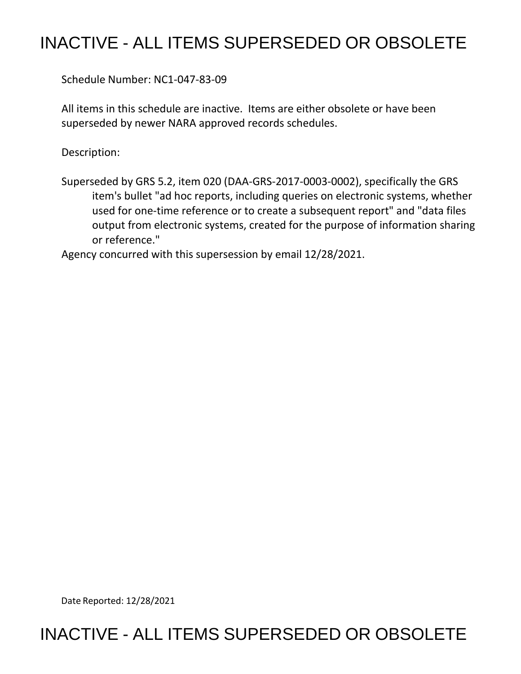## INACTIVE - ALL ITEMS SUPERSEDED OR OBSOLETE

Schedule Number: NC1-047-83-09

 All items in this schedule are inactive. Items are either obsolete or have been superseded by newer NARA approved records schedules.

Description:

 Superseded by GRS 5.2, item 020 (DAA-GRS-2017-0003-0002), specifically the GRS item's bullet "ad hoc reports, including queries on electronic systems, whether used for one-time reference or to create a subsequent report" and "data files output from electronic systems, created for the purpose of information sharing or reference."

Agency concurred with this supersession by email 12/28/2021.

Date Reported: 12/28/2021

## INACTIVE - ALL ITEMS SUPERSEDED OR OBSOLETE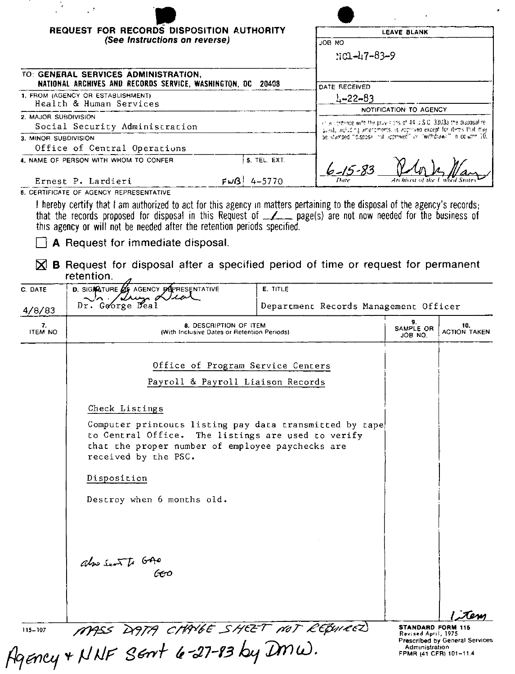| $\epsilon$                                                                                          | $\sim$ $^2$                                                                                                                                                                                                                                                                                                                                                             |                                       |                                                                                                                                       |                            |  |
|-----------------------------------------------------------------------------------------------------|-------------------------------------------------------------------------------------------------------------------------------------------------------------------------------------------------------------------------------------------------------------------------------------------------------------------------------------------------------------------------|---------------------------------------|---------------------------------------------------------------------------------------------------------------------------------------|----------------------------|--|
| REQUEST FOR RECORDS DISPOSITION AUTHORITY                                                           |                                                                                                                                                                                                                                                                                                                                                                         |                                       | <b>LEAVE BLANK</b>                                                                                                                    |                            |  |
| (See Instructions on reverse)                                                                       |                                                                                                                                                                                                                                                                                                                                                                         |                                       | <b>ON BOL</b>                                                                                                                         |                            |  |
|                                                                                                     |                                                                                                                                                                                                                                                                                                                                                                         |                                       | $101 - 47 - 83 - 9$                                                                                                                   |                            |  |
|                                                                                                     |                                                                                                                                                                                                                                                                                                                                                                         |                                       |                                                                                                                                       |                            |  |
| TO: GENERAL SERVICES ADMINISTRATION,<br>NATIONAL ARCHIVES AND RECORDS SERVICE, WASHINGTON, DC 20408 |                                                                                                                                                                                                                                                                                                                                                                         |                                       | DATE RECEIVED                                                                                                                         |                            |  |
| 1. FROM (AGENCY OR ESTABLISHMENT)                                                                   |                                                                                                                                                                                                                                                                                                                                                                         |                                       | $1 - 22 - 83$                                                                                                                         |                            |  |
| Health & Human Services                                                                             |                                                                                                                                                                                                                                                                                                                                                                         |                                       | NOTIFICATION TO AGENCY                                                                                                                |                            |  |
| 2. MAJOR SUBDIVISION                                                                                |                                                                                                                                                                                                                                                                                                                                                                         |                                       | in accordance with the provisions of 44 U.S.C. 3303a the disposalite.                                                                 |                            |  |
| Social Security Administration<br>3. MINOR SUBDIVISION                                              |                                                                                                                                                                                                                                                                                                                                                                         |                                       | quest, including amendments, is approved except for items that may<br>be stamped "disposal not approved" or "withdraws" in column 10. |                            |  |
|                                                                                                     | Office of Central Operations                                                                                                                                                                                                                                                                                                                                            |                                       |                                                                                                                                       |                            |  |
| 5. TEL. EXT.<br>4. NAME OF PERSON WITH WHOM TO CONFER                                               |                                                                                                                                                                                                                                                                                                                                                                         |                                       | $6 - 15 - 83$                                                                                                                         |                            |  |
| $FwB$ 4-5770<br>Ernest P. Lardieri<br><b>6. CERTIFICATE OF AGENCY REPRESENTATIVE</b>                |                                                                                                                                                                                                                                                                                                                                                                         |                                       |                                                                                                                                       |                            |  |
|                                                                                                     | I hereby certify that I am authorized to act for this agency in matters pertaining to the disposal of the agency's records;<br>that the records proposed for disposal in this Request of <u>example</u> page(s) are not now needed for the business of<br>this agency or will not be needed after the retention periods specified.<br>A Request for immediate disposal. |                                       |                                                                                                                                       |                            |  |
| M                                                                                                   | <b>B</b> Request for disposal after a specified period of time or request for permanent<br>retention.                                                                                                                                                                                                                                                                   |                                       |                                                                                                                                       |                            |  |
| C. DATE                                                                                             | D. SIGARIURE 25 AGENCY DEPRESENTATIVE<br>E. TITLE                                                                                                                                                                                                                                                                                                                       |                                       |                                                                                                                                       |                            |  |
| 4/8/83                                                                                              | Dr. George Dea                                                                                                                                                                                                                                                                                                                                                          | Department Records Management Officer |                                                                                                                                       |                            |  |
| 7.<br><b>ITEM NO</b>                                                                                | 8. DESCRIPTION OF ITEM<br>(With Inclusive Dates or Retention Periods)                                                                                                                                                                                                                                                                                                   |                                       | 9.<br>SAMPLE OR<br>JOB NO.                                                                                                            | 10.<br><b>ACTION TAKEN</b> |  |
|                                                                                                     | Office of Program Service Centers                                                                                                                                                                                                                                                                                                                                       |                                       |                                                                                                                                       |                            |  |
|                                                                                                     | Payroll & Payroll Liaison Records                                                                                                                                                                                                                                                                                                                                       |                                       |                                                                                                                                       |                            |  |
|                                                                                                     | Check Listings                                                                                                                                                                                                                                                                                                                                                          |                                       |                                                                                                                                       |                            |  |
|                                                                                                     | Computer printouts listing pay data transmitted by tape<br>to Central Office. The listings are used to verify<br>that the proper number of employee paychecks are<br>received by the PSC.                                                                                                                                                                               |                                       |                                                                                                                                       |                            |  |
|                                                                                                     | Disposition                                                                                                                                                                                                                                                                                                                                                             |                                       |                                                                                                                                       |                            |  |
|                                                                                                     | Destroy when 6 months old.                                                                                                                                                                                                                                                                                                                                              |                                       |                                                                                                                                       |                            |  |
|                                                                                                     |                                                                                                                                                                                                                                                                                                                                                                         |                                       |                                                                                                                                       |                            |  |
|                                                                                                     | also Sent to GAO                                                                                                                                                                                                                                                                                                                                                        |                                       |                                                                                                                                       |                            |  |

115-107 MASS DATA CHAVGE SHEET NOT REQUIRED

STANDARD FORM 115 Revised April, 1975<br>Prescribed by General Services Administration<br>FPMR (41 CFR) 101-11.4

Tem